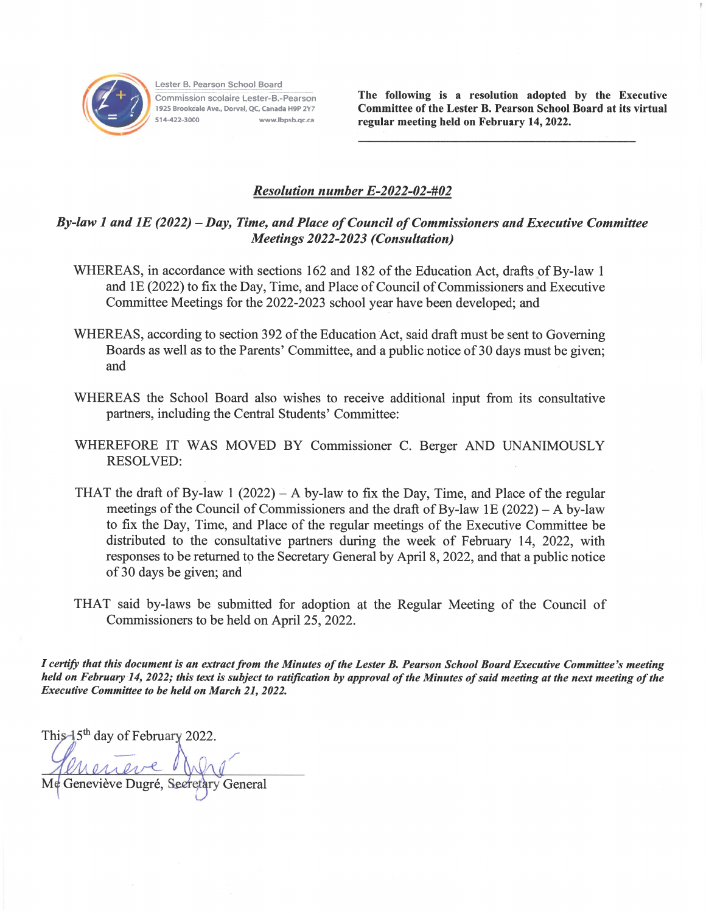

Lester B. Pearson School Board Commission scolaire Lester-B.-Pearson 1925 Brookdale Ave., Dorval, QC, Canada H9P 2Y7 514-422-3000 www.lbpsb.oc.ca

The following is a resolution adopted by the Executive Committee of the Lester B. Pearson School Board at its virtual regular meeting held on February 14, 2022.

## **Resolution number E-2022-02-#02**

## By-law 1 and 1E (2022) – Day, Time, and Place of Council of Commissioners and Executive Committee **Meetings 2022-2023 (Consultation)**

- WHEREAS, in accordance with sections 162 and 182 of the Education Act, drafts of By-law 1 and 1E (2022) to fix the Day, Time, and Place of Council of Commissioners and Executive Committee Meetings for the 2022-2023 school year have been developed; and
- WHEREAS, according to section 392 of the Education Act, said draft must be sent to Governing Boards as well as to the Parents' Committee, and a public notice of 30 days must be given; and
- WHEREAS the School Board also wishes to receive additional input from its consultative partners, including the Central Students' Committee:
- WHEREFORE IT WAS MOVED BY Commissioner C. Berger AND UNANIMOUSLY **RESOLVED:**
- THAT the draft of By-law 1 (2022) A by-law to fix the Day, Time, and Place of the regular meetings of the Council of Commissioners and the draft of By-law 1E  $(2022) - A$  by-law to fix the Day, Time, and Place of the regular meetings of the Executive Committee be distributed to the consultative partners during the week of February 14, 2022, with responses to be returned to the Secretary General by April 8, 2022, and that a public notice of 30 days be given; and
- THAT said by-laws be submitted for adoption at the Regular Meeting of the Council of Commissioners to be held on April 25, 2022.

I certify that this document is an extract from the Minutes of the Lester B. Pearson School Board Executive Committee's meeting held on February 14, 2022; this text is subject to ratification by approval of the Minutes of said meeting at the next meeting of the **Executive Committee to be held on March 21, 2022.** 

This  $\frac{1}{5}$ <sup>th</sup> day of February 2022.

Me Geneviève Dugré, Secretary General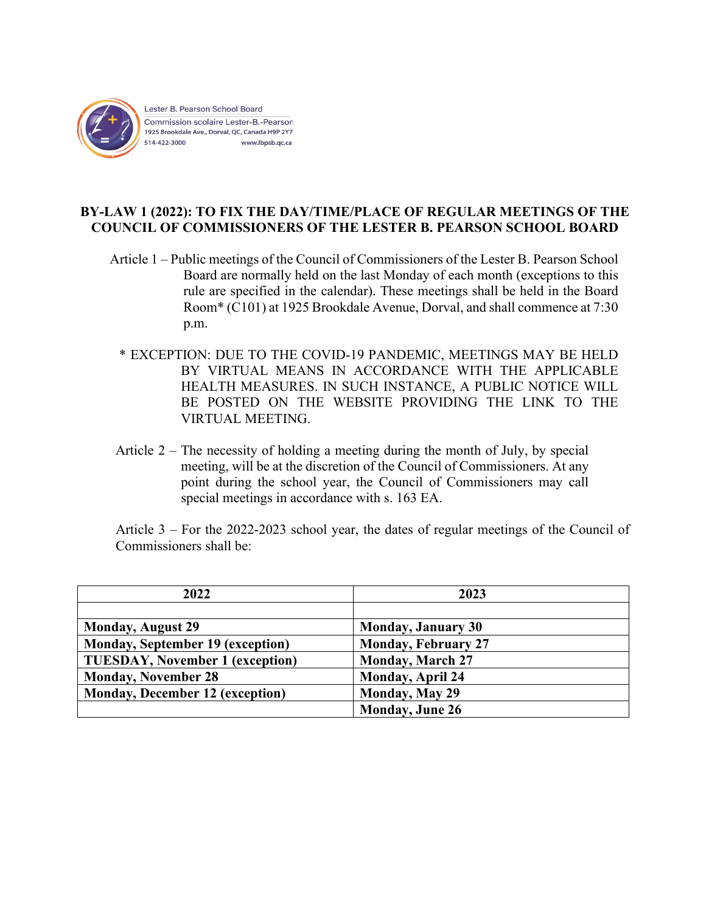

## **BY-LAW 1 (2022): TO FIX THE DAY/TIME/PLACE OF REGULAR MEETINGS OF THE COUNCIL OF COMMISSIONERS OF THE LESTER B. PEARSON SCHOOL BOARD**

- Article 1 Public meetings of the Council of Commissioners of the Lester B. Pearson School Board are normally held on the last Monday of each month (exceptions to this rule are specified in the calendar). These meetings shall be held in the Board Room\* (C101) at 1925 Brookdale Avenue, Dorval, and shall commence at 7:30 p.m.
	- \* EXCEPTION: DUE TO THE COVID-19 PANDEMIC, MEETINGS MAY BE HELD BY VIRTUAL MEANS IN ACCORDANCE WITH THE APPLICABLE HEALTH MEASURES. IN SUCH INSTANCE, A PUBLIC NOTICE WILL BE POSTED ON THE WEBSITE PROVIDING THE LINK TO THE VIRTUAL MEETING.
- Article  $2 -$  The necessity of holding a meeting during the month of July, by special meeting, will be at the discretion of the Council of Commissioners. At any point during the school year, the Council of Commissioners may call special meetings in accordance with s. 163 EA.

Article 3 – For the 2022-2023 school year, the dates of regular meetings of the Council of Commissioners shall be:

| 2022                                    | 2023                       |
|-----------------------------------------|----------------------------|
|                                         |                            |
| <b>Monday, August 29</b>                | <b>Monday, January 30</b>  |
| <b>Monday, September 19 (exception)</b> | <b>Monday, February 27</b> |
| <b>TUESDAY, November 1 (exception)</b>  | <b>Monday, March 27</b>    |
| <b>Monday, November 28</b>              | <b>Monday, April 24</b>    |
| <b>Monday, December 12 (exception)</b>  | Monday, May 29             |
|                                         | <b>Monday</b> , June 26    |